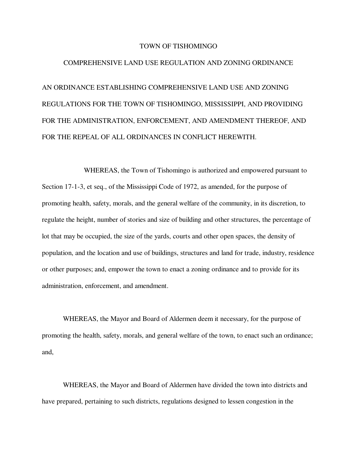#### TOWN OF TISHOMINGO

#### COMPREHENSIVE LAND USE REGULATION AND ZONING ORDINANCE

AN ORDINANCE ESTABLISHING COMPREHENSIVE LAND USE AND ZONING REGULATIONS FOR THE TOWN OF TISHOMINGO, MISSISSIPPI, AND PROVIDING FOR THE ADMINISTRATION, ENFORCEMENT, AND AMENDMENT THEREOF, AND FOR THE REPEAL OF ALL ORDINANCES IN CONFLICT HEREWITH.

WHEREAS, the Town of Tishomingo is authorized and empowered pursuant to Section 17-1-3, et seq., of the Mississippi Code of 1972, as amended, for the purpose of promoting health, safety, morals, and the general welfare of the community, in its discretion, to regulate the height, number of stories and size of building and other structures, the percentage of lot that may be occupied, the size of the yards, courts and other open spaces, the density of population, and the location and use of buildings, structures and land for trade, industry, residence or other purposes; and, empower the town to enact a zoning ordinance and to provide for its administration, enforcement, and amendment.

WHEREAS, the Mayor and Board of Aldermen deem it necessary, for the purpose of promoting the health, safety, morals, and general welfare of the town, to enact such an ordinance; and,

WHEREAS, the Mayor and Board of Aldermen have divided the town into districts and have prepared, pertaining to such districts, regulations designed to lessen congestion in the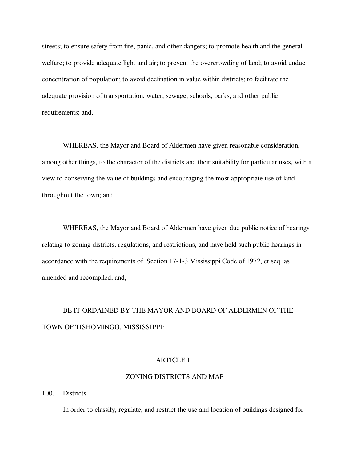streets; to ensure safety from fire, panic, and other dangers; to promote health and the general welfare; to provide adequate light and air; to prevent the overcrowding of land; to avoid undue concentration of population; to avoid declination in value within districts; to facilitate the adequate provision of transportation, water, sewage, schools, parks, and other public requirements; and,

WHEREAS, the Mayor and Board of Aldermen have given reasonable consideration, among other things, to the character of the districts and their suitability for particular uses, with a view to conserving the value of buildings and encouraging the most appropriate use of land throughout the town; and

WHEREAS, the Mayor and Board of Aldermen have given due public notice of hearings relating to zoning districts, regulations, and restrictions, and have held such public hearings in accordance with the requirements of Section 17-1-3 Mississippi Code of 1972, et seq. as amended and recompiled; and,

# BE IT ORDAINED BY THE MAYOR AND BOARD OF ALDERMEN OF THE TOWN OF TISHOMINGO, MISSISSIPPI:

# ARTICLE I

# ZONING DISTRICTS AND MAP

100. Districts

In order to classify, regulate, and restrict the use and location of buildings designed for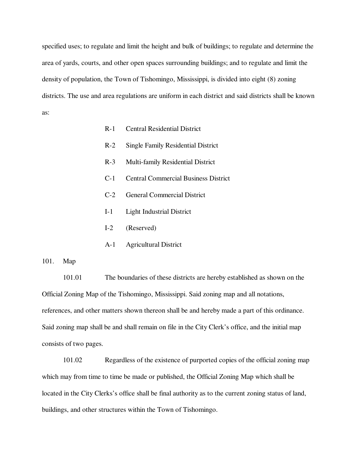specified uses; to regulate and limit the height and bulk of buildings; to regulate and determine the area of yards, courts, and other open spaces surrounding buildings; and to regulate and limit the density of population, the Town of Tishomingo, Mississippi, is divided into eight (8) zoning districts. The use and area regulations are uniform in each district and said districts shall be known as:

- R-1 Central Residential District
- R-2 Single Family Residential District
- R-3 Multi-family Residential District
- C-1 Central Commercial Business District
- C-2 General Commercial District
- I-1 Light Industrial District
- I-2 (Reserved)
- A-1 Agricultural District

# 101. Map

101.01 The boundaries of these districts are hereby established as shown on the Official Zoning Map of the Tishomingo, Mississippi. Said zoning map and all notations, references, and other matters shown thereon shall be and hereby made a part of this ordinance. Said zoning map shall be and shall remain on file in the City Clerk's office, and the initial map consists of two pages.

101.02 Regardless of the existence of purported copies of the official zoning map which may from time to time be made or published, the Official Zoning Map which shall be located in the City Clerks's office shall be final authority as to the current zoning status of land, buildings, and other structures within the Town of Tishomingo.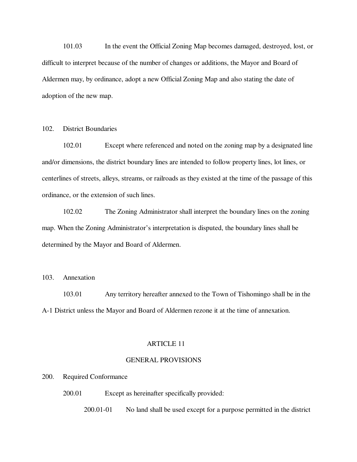101.03 In the event the Official Zoning Map becomes damaged, destroyed, lost, or difficult to interpret because of the number of changes or additions, the Mayor and Board of Aldermen may, by ordinance, adopt a new Official Zoning Map and also stating the date of adoption of the new map.

# 102. District Boundaries

102.01 Except where referenced and noted on the zoning map by a designated line and/or dimensions, the district boundary lines are intended to follow property lines, lot lines, or centerlines of streets, alleys, streams, or railroads as they existed at the time of the passage of this ordinance, or the extension of such lines.

102.02 The Zoning Administrator shall interpret the boundary lines on the zoning map. When the Zoning Administrator's interpretation is disputed, the boundary lines shall be determined by the Mayor and Board of Aldermen.

## 103. Annexation

103.01 Any territory hereafter annexed to the Town of Tishomingo shall be in the A-1 District unless the Mayor and Board of Aldermen rezone it at the time of annexation.

#### ARTICLE 11

## GENERAL PROVISIONS

#### 200. Required Conformance

200.01 Except as hereinafter specifically provided:

200.01-01 No land shall be used except for a purpose permitted in the district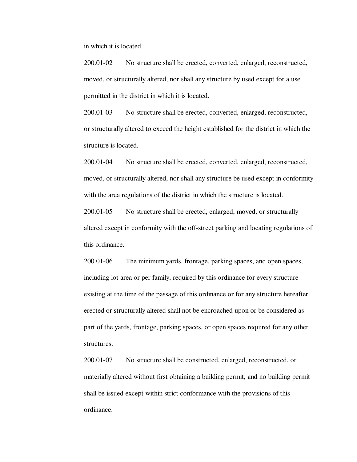in which it is located.

200.01-02 No structure shall be erected, converted, enlarged, reconstructed, moved, or structurally altered, nor shall any structure by used except for a use permitted in the district in which it is located.

200.01-03 No structure shall be erected, converted, enlarged, reconstructed, or structurally altered to exceed the height established for the district in which the structure is located.

200.01-04 No structure shall be erected, converted, enlarged, reconstructed, moved, or structurally altered, nor shall any structure be used except in conformity with the area regulations of the district in which the structure is located.

200.01-05 No structure shall be erected, enlarged, moved, or structurally altered except in conformity with the off-street parking and locating regulations of this ordinance.

200.01-06 The minimum yards, frontage, parking spaces, and open spaces, including lot area or per family, required by this ordinance for every structure existing at the time of the passage of this ordinance or for any structure hereafter erected or structurally altered shall not be encroached upon or be considered as part of the yards, frontage, parking spaces, or open spaces required for any other structures.

200.01-07 No structure shall be constructed, enlarged, reconstructed, or materially altered without first obtaining a building permit, and no building permit shall be issued except within strict conformance with the provisions of this ordinance.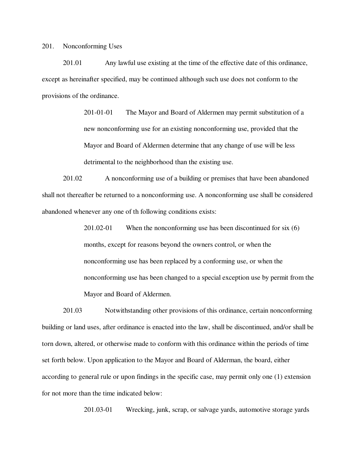201. Nonconforming Uses

201.01 Any lawful use existing at the time of the effective date of this ordinance, except as hereinafter specified, may be continued although such use does not conform to the provisions of the ordinance.

> 201-01-01 The Mayor and Board of Aldermen may permit substitution of a new nonconforming use for an existing nonconforming use, provided that the Mayor and Board of Aldermen determine that any change of use will be less detrimental to the neighborhood than the existing use.

 201.02 A nonconforming use of a building or premises that have been abandoned shall not thereafter be returned to a nonconforming use. A nonconforming use shall be considered abandoned whenever any one of th following conditions exists:

> 201.02-01 When the nonconforming use has been discontinued for six (6) months, except for reasons beyond the owners control, or when the nonconforming use has been replaced by a conforming use, or when the nonconforming use has been changed to a special exception use by permit from the Mayor and Board of Aldermen.

201.03 Notwithstanding other provisions of this ordinance, certain nonconforming building or land uses, after ordinance is enacted into the law, shall be discontinued, and/or shall be torn down, altered, or otherwise made to conform with this ordinance within the periods of time set forth below. Upon application to the Mayor and Board of Alderman, the board, either according to general rule or upon findings in the specific case, may permit only one (1) extension for not more than the time indicated below:

201.03-01 Wrecking, junk, scrap, or salvage yards, automotive storage yards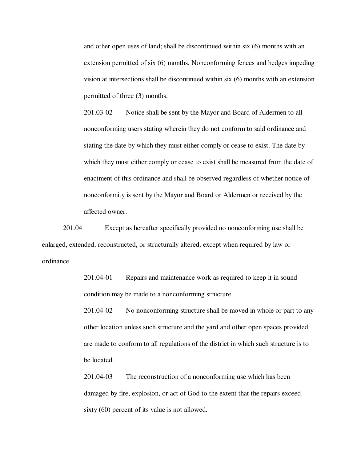and other open uses of land; shall be discontinued within six (6) months with an extension permitted of six (6) months. Nonconforming fences and hedges impeding vision at intersections shall be discontinued within six (6) months with an extension permitted of three (3) months.

201.03-02 Notice shall be sent by the Mayor and Board of Aldermen to all nonconforming users stating wherein they do not conform to said ordinance and stating the date by which they must either comply or cease to exist. The date by which they must either comply or cease to exist shall be measured from the date of enactment of this ordinance and shall be observed regardless of whether notice of nonconformity is sent by the Mayor and Board or Aldermen or received by the affected owner.

201.04 Except as hereafter specifically provided no nonconforming use shall be enlarged, extended, reconstructed, or structurally altered, except when required by law or ordinance.

> 201.04-01 Repairs and maintenance work as required to keep it in sound condition may be made to a nonconforming structure.

201.04-02 No nonconforming structure shall be moved in whole or part to any other location unless such structure and the yard and other open spaces provided are made to conform to all regulations of the district in which such structure is to be located.

201.04-03 The reconstruction of a nonconforming use which has been damaged by fire, explosion, or act of God to the extent that the repairs exceed sixty (60) percent of its value is not allowed.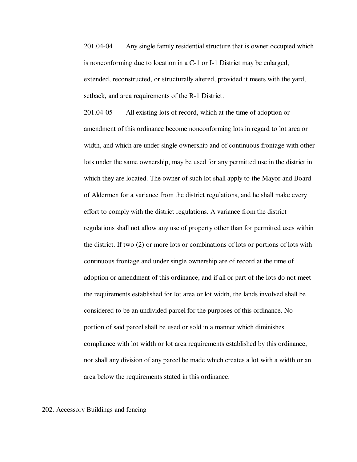201.04-04 Any single family residential structure that is owner occupied which is nonconforming due to location in a C-1 or I-1 District may be enlarged, extended, reconstructed, or structurally altered, provided it meets with the yard, setback, and area requirements of the R-1 District.

201.04-05 All existing lots of record, which at the time of adoption or amendment of this ordinance become nonconforming lots in regard to lot area or width, and which are under single ownership and of continuous frontage with other lots under the same ownership, may be used for any permitted use in the district in which they are located. The owner of such lot shall apply to the Mayor and Board of Aldermen for a variance from the district regulations, and he shall make every effort to comply with the district regulations. A variance from the district regulations shall not allow any use of property other than for permitted uses within the district. If two (2) or more lots or combinations of lots or portions of lots with continuous frontage and under single ownership are of record at the time of adoption or amendment of this ordinance, and if all or part of the lots do not meet the requirements established for lot area or lot width, the lands involved shall be considered to be an undivided parcel for the purposes of this ordinance. No portion of said parcel shall be used or sold in a manner which diminishes compliance with lot width or lot area requirements established by this ordinance, nor shall any division of any parcel be made which creates a lot with a width or an area below the requirements stated in this ordinance.

## 202. Accessory Buildings and fencing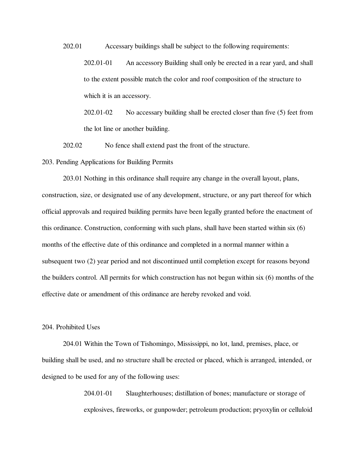202.01 Accessary buildings shall be subject to the following requirements:

202.01-01 An accessory Building shall only be erected in a rear yard, and shall to the extent possible match the color and roof composition of the structure to which it is an accessory.

202.01-02 No accessary building shall be erected closer than five (5) feet from the lot line or another building.

202.02 No fence shall extend past the front of the structure.

203. Pending Applications for Building Permits

203.01 Nothing in this ordinance shall require any change in the overall layout, plans, construction, size, or designated use of any development, structure, or any part thereof for which official approvals and required building permits have been legally granted before the enactment of this ordinance. Construction, conforming with such plans, shall have been started within six (6) months of the effective date of this ordinance and completed in a normal manner within a subsequent two (2) year period and not discontinued until completion except for reasons beyond the builders control. All permits for which construction has not begun within six (6) months of the effective date or amendment of this ordinance are hereby revoked and void.

# 204. Prohibited Uses

204.01 Within the Town of Tishomingo, Mississippi, no lot, land, premises, place, or building shall be used, and no structure shall be erected or placed, which is arranged, intended, or designed to be used for any of the following uses:

> 204.01-01 Slaughterhouses; distillation of bones; manufacture or storage of explosives, fireworks, or gunpowder; petroleum production; pryoxylin or celluloid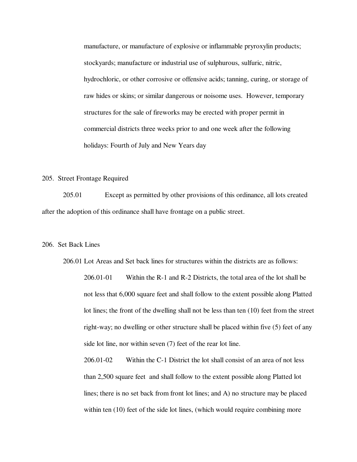manufacture, or manufacture of explosive or inflammable pryroxylin products; stockyards; manufacture or industrial use of sulphurous, sulfuric, nitric, hydrochloric, or other corrosive or offensive acids; tanning, curing, or storage of raw hides or skins; or similar dangerous or noisome uses. However, temporary structures for the sale of fireworks may be erected with proper permit in commercial districts three weeks prior to and one week after the following holidays: Fourth of July and New Years day

#### 205. Street Frontage Required

205.01 Except as permitted by other provisions of this ordinance, all lots created after the adoption of this ordinance shall have frontage on a public street.

## 206. Set Back Lines

206.01 Lot Areas and Set back lines for structures within the districts are as follows:

206.01-01 Within the R-1 and R-2 Districts, the total area of the lot shall be not less that 6,000 square feet and shall follow to the extent possible along Platted lot lines; the front of the dwelling shall not be less than ten (10) feet from the street right-way; no dwelling or other structure shall be placed within five (5) feet of any side lot line, nor within seven (7) feet of the rear lot line.

206.01-02 Within the C-1 District the lot shall consist of an area of not less than 2,500 square feet and shall follow to the extent possible along Platted lot lines; there is no set back from front lot lines; and A) no structure may be placed within ten (10) feet of the side lot lines, (which would require combining more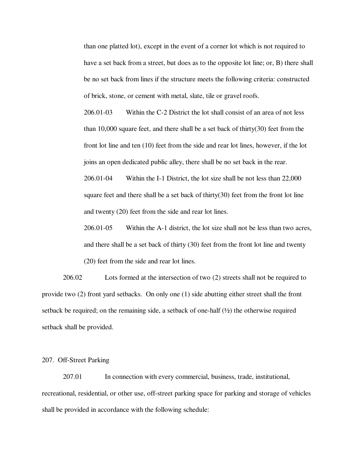than one platted lot), except in the event of a corner lot which is not required to have a set back from a street, but does as to the opposite lot line; or, B) there shall be no set back from lines if the structure meets the following criteria: constructed of brick, stone, or cement with metal, slate, tile or gravel roofs.

206.01-03 Within the C-2 District the lot shall consist of an area of not less than 10,000 square feet, and there shall be a set back of thirty(30) feet from the front lot line and ten (10) feet from the side and rear lot lines, however, if the lot joins an open dedicated public alley, there shall be no set back in the rear.

206.01-04 Within the I-1 District, the lot size shall be not less than 22,000 square feet and there shall be a set back of thirty $(30)$  feet from the front lot line and twenty (20) feet from the side and rear lot lines.

206.01-05 Within the A-1 district, the lot size shall not be less than two acres, and there shall be a set back of thirty (30) feet from the front lot line and twenty (20) feet from the side and rear lot lines.

 206.02 Lots formed at the intersection of two (2) streets shall not be required to provide two (2) front yard setbacks. On only one (1) side abutting either street shall the front setback be required; on the remaining side, a setback of one-half  $\left(\frac{1}{2}\right)$  the otherwise required setback shall be provided.

## 207. Off-Street Parking

207.01 In connection with every commercial, business, trade, institutional, recreational, residential, or other use, off-street parking space for parking and storage of vehicles shall be provided in accordance with the following schedule: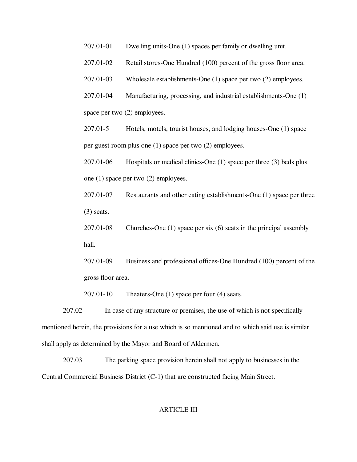- 207.01-01 Dwelling units-One (1) spaces per family or dwelling unit.
- 207.01-02 Retail stores-One Hundred (100) percent of the gross floor area.
- 207.01-03 Wholesale establishments-One (1) space per two (2) employees.
- 207.01-04 Manufacturing, processing, and industrial establishments-One (1) space per two (2) employees.

207.01-5 Hotels, motels, tourist houses, and lodging houses-One (1) space per guest room plus one (1) space per two (2) employees.

207.01-06 Hospitals or medical clinics-One (1) space per three (3) beds plus one (1) space per two (2) employees.

207.01-07 Restaurants and other eating establishments-One (1) space per three (3) seats.

207.01-08 Churches-One (1) space per six (6) seats in the principal assembly hall.

207.01-09 Business and professional offices-One Hundred (100) percent of the gross floor area.

207.01-10 Theaters-One (1) space per four (4) seats.

207.02 In case of any structure or premises, the use of which is not specifically mentioned herein, the provisions for a use which is so mentioned and to which said use is similar shall apply as determined by the Mayor and Board of Aldermen.

207.03 The parking space provision herein shall not apply to businesses in the Central Commercial Business District (C-1) that are constructed facing Main Street.

## ARTICLE III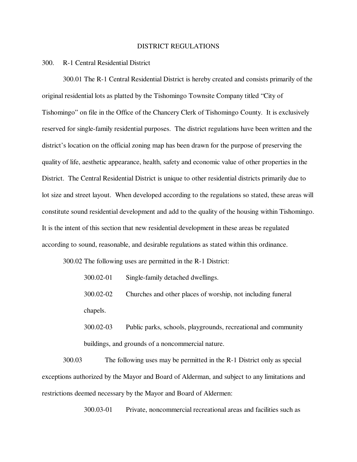#### DISTRICT REGULATIONS

#### 300. R-1 Central Residential District

300.01 The R-1 Central Residential District is hereby created and consists primarily of the original residential lots as platted by the Tishomingo Townsite Company titled "City of Tishomingo" on file in the Office of the Chancery Clerk of Tishomingo County. It is exclusively reserved for single-family residential purposes. The district regulations have been written and the district's location on the official zoning map has been drawn for the purpose of preserving the quality of life, aesthetic appearance, health, safety and economic value of other properties in the District. The Central Residential District is unique to other residential districts primarily due to lot size and street layout. When developed according to the regulations so stated, these areas will constitute sound residential development and add to the quality of the housing within Tishomingo. It is the intent of this section that new residential development in these areas be regulated according to sound, reasonable, and desirable regulations as stated within this ordinance.

300.02 The following uses are permitted in the R-1 District:

300.02-01 Single-family detached dwellings.

300.02-02 Churches and other places of worship, not including funeral chapels.

 300.02-03 Public parks, schools, playgrounds, recreational and community buildings, and grounds of a noncommercial nature.

300.03 The following uses may be permitted in the R-1 District only as special exceptions authorized by the Mayor and Board of Alderman, and subject to any limitations and restrictions deemed necessary by the Mayor and Board of Aldermen:

300.03-01 Private, noncommercial recreational areas and facilities such as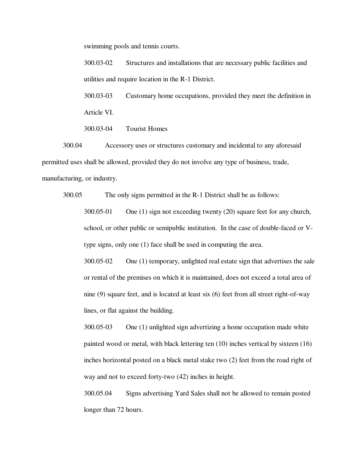swimming pools and tennis courts.

300.03-02 Structures and installations that are necessary public facilities and utilities and require location in the R-1 District.

300.03-03 Customary home occupations, provided they meet the definition in Article VI.

300.03-04 Tourist Homes

300.04 Accessory uses or structures customary and incidental to any aforesaid permitted uses shall be allowed, provided they do not involve any type of business, trade, manufacturing, or industry.

300.05 The only signs permitted in the R-1 District shall be as follows:

300.05-01 One (1) sign not exceeding twenty (20) square feet for any church, school, or other public or semipublic institution. In the case of double-faced or Vtype signs, only one (1) face shall be used in computing the area.

300.05-02 One (1) temporary, unlighted real estate sign that advertises the sale or rental of the premises on which it is maintained, does not exceed a total area of nine (9) square feet, and is located at least six (6) feet from all street right-of-way lines, or flat against the building.

300.05-03 One (1) unlighted sign advertizing a home occupation made white painted wood or metal, with black lettering ten (10) inches vertical by sixteen (16) inches horizontal posted on a black metal stake two (2) feet from the road right of way and not to exceed forty-two (42) inches in height.

300.05.04 Signs advertising Yard Sales shall not be allowed to remain posted longer than 72 hours.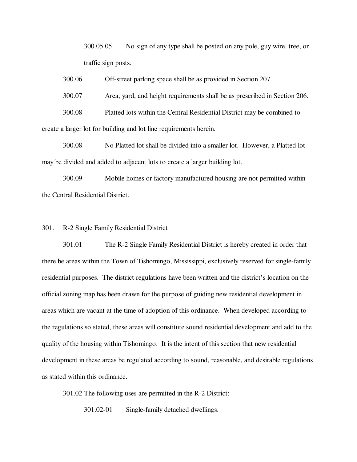300.05.05 No sign of any type shall be posted on any pole, guy wire, tree, or traffic sign posts.

300.06 Off-street parking space shall be as provided in Section 207.

300.07 Area, yard, and height requirements shall be as prescribed in Section 206.

300.08 Platted lots within the Central Residential District may be combined to create a larger lot for building and lot line requirements herein.

300.08 No Platted lot shall be divided into a smaller lot. However, a Platted lot may be divided and added to adjacent lots to create a larger building lot.

300.09 Mobile homes or factory manufactured housing are not permitted within the Central Residential District.

## 301. R-2 Single Family Residential District

301.01 The R-2 Single Family Residential District is hereby created in order that there be areas within the Town of Tishomingo, Mississippi, exclusively reserved for single-family residential purposes. The district regulations have been written and the district's location on the official zoning map has been drawn for the purpose of guiding new residential development in areas which are vacant at the time of adoption of this ordinance. When developed according to the regulations so stated, these areas will constitute sound residential development and add to the quality of the housing within Tishomingo. It is the intent of this section that new residential development in these areas be regulated according to sound, reasonable, and desirable regulations as stated within this ordinance.

301.02 The following uses are permitted in the R-2 District:

301.02-01 Single-family detached dwellings.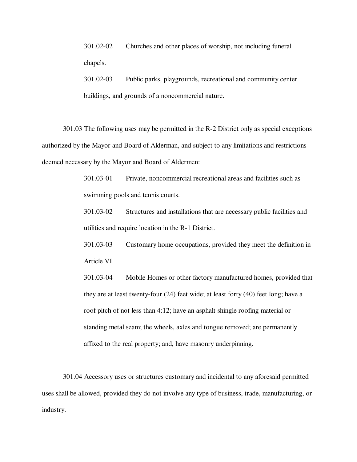301.02-02 Churches and other places of worship, not including funeral chapels.

 301.02-03 Public parks, playgrounds, recreational and community center buildings, and grounds of a noncommercial nature.

301.03 The following uses may be permitted in the R-2 District only as special exceptions authorized by the Mayor and Board of Alderman, and subject to any limitations and restrictions deemed necessary by the Mayor and Board of Aldermen:

> 301.03-01 Private, noncommercial recreational areas and facilities such as swimming pools and tennis courts.

301.03-02 Structures and installations that are necessary public facilities and utilities and require location in the R-1 District.

301.03-03 Customary home occupations, provided they meet the definition in Article VI.

301.03-04 Mobile Homes or other factory manufactured homes, provided that they are at least twenty-four (24) feet wide; at least forty (40) feet long; have a roof pitch of not less than 4:12; have an asphalt shingle roofing material or standing metal seam; the wheels, axles and tongue removed; are permanently affixed to the real property; and, have masonry underpinning.

301.04 Accessory uses or structures customary and incidental to any aforesaid permitted uses shall be allowed, provided they do not involve any type of business, trade, manufacturing, or industry.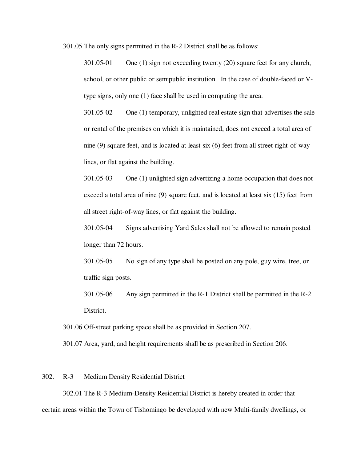301.05 The only signs permitted in the R-2 District shall be as follows:

301.05-01 One (1) sign not exceeding twenty (20) square feet for any church, school, or other public or semipublic institution. In the case of double-faced or Vtype signs, only one (1) face shall be used in computing the area.

301.05-02 One (1) temporary, unlighted real estate sign that advertises the sale or rental of the premises on which it is maintained, does not exceed a total area of nine (9) square feet, and is located at least six (6) feet from all street right-of-way lines, or flat against the building.

301.05-03 One (1) unlighted sign advertizing a home occupation that does not exceed a total area of nine (9) square feet, and is located at least six (15) feet from all street right-of-way lines, or flat against the building.

301.05-04 Signs advertising Yard Sales shall not be allowed to remain posted longer than 72 hours.

301.05-05 No sign of any type shall be posted on any pole, guy wire, tree, or traffic sign posts.

301.05-06 Any sign permitted in the R-1 District shall be permitted in the R-2 District.

301.06 Off-street parking space shall be as provided in Section 207.

301.07 Area, yard, and height requirements shall be as prescribed in Section 206.

# 302. R-3 Medium Density Residential District

302.01 The R-3 Medium-Density Residential District is hereby created in order that certain areas within the Town of Tishomingo be developed with new Multi-family dwellings, or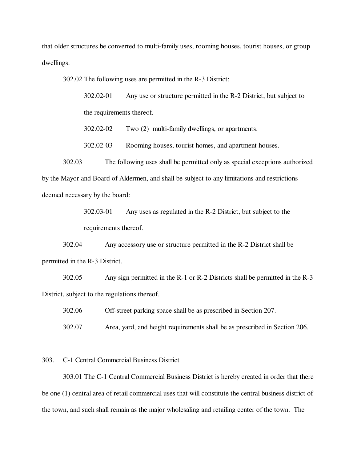that older structures be converted to multi-family uses, rooming houses, tourist houses, or group dwellings.

302.02 The following uses are permitted in the R-3 District:

302.02-01 Any use or structure permitted in the R-2 District, but subject to the requirements thereof.

302.02-02 Two (2) multi-family dwellings, or apartments.

302.02-03 Rooming houses, tourist homes, and apartment houses.

302.03 The following uses shall be permitted only as special exceptions authorized by the Mayor and Board of Aldermen, and shall be subject to any limitations and restrictions deemed necessary by the board:

> 302.03-01 Any uses as regulated in the R-2 District, but subject to the requirements thereof.

302.04 Any accessory use or structure permitted in the R-2 District shall be permitted in the R-3 District.

302.05 Any sign permitted in the R-1 or R-2 Districts shall be permitted in the R-3 District, subject to the regulations thereof.

302.06 Off-street parking space shall be as prescribed in Section 207.

302.07 Area, yard, and height requirements shall be as prescribed in Section 206.

303. C-1 Central Commercial Business District

303.01 The C-1 Central Commercial Business District is hereby created in order that there be one (1) central area of retail commercial uses that will constitute the central business district of the town, and such shall remain as the major wholesaling and retailing center of the town. The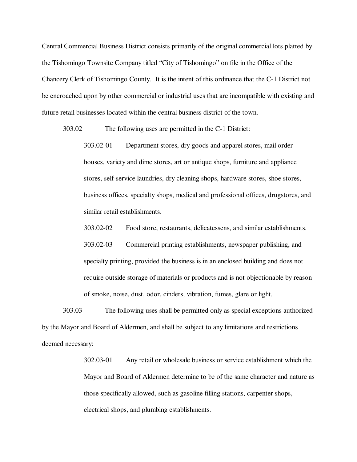Central Commercial Business District consists primarily of the original commercial lots platted by the Tishomingo Townsite Company titled "City of Tishomingo" on file in the Office of the Chancery Clerk of Tishomingo County. It is the intent of this ordinance that the C-1 District not be encroached upon by other commercial or industrial uses that are incompatible with existing and future retail businesses located within the central business district of the town.

303.02 The following uses are permitted in the C-1 District:

303.02-01 Department stores, dry goods and apparel stores, mail order houses, variety and dime stores, art or antique shops, furniture and appliance stores, self-service laundries, dry cleaning shops, hardware stores, shoe stores, business offices, specialty shops, medical and professional offices, drugstores, and similar retail establishments.

303.02-02 Food store, restaurants, delicatessens, and similar establishments.

303.02-03 Commercial printing establishments, newspaper publishing, and specialty printing, provided the business is in an enclosed building and does not require outside storage of materials or products and is not objectionable by reason of smoke, noise, dust, odor, cinders, vibration, fumes, glare or light.

303.03 The following uses shall be permitted only as special exceptions authorized by the Mayor and Board of Aldermen, and shall be subject to any limitations and restrictions deemed necessary:

> 302.03-01 Any retail or wholesale business or service establishment which the Mayor and Board of Aldermen determine to be of the same character and nature as those specifically allowed, such as gasoline filling stations, carpenter shops, electrical shops, and plumbing establishments.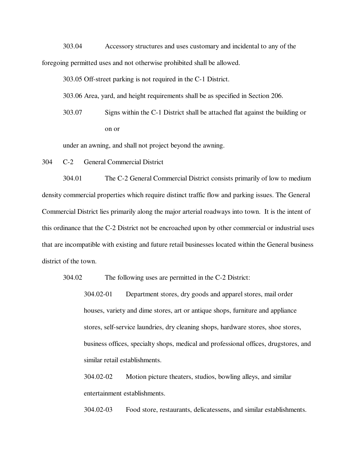303.04 Accessory structures and uses customary and incidental to any of the foregoing permitted uses and not otherwise prohibited shall be allowed.

303.05 Off-street parking is not required in the C-1 District.

303.06 Area, yard, and height requirements shall be as specified in Section 206.

303.07 Signs within the C-1 District shall be attached flat against the building or on or

under an awning, and shall not project beyond the awning.

304 C-2 General Commercial District

304.01 The C-2 General Commercial District consists primarily of low to medium density commercial properties which require distinct traffic flow and parking issues. The General Commercial District lies primarily along the major arterial roadways into town. It is the intent of this ordinance that the C-2 District not be encroached upon by other commercial or industrial uses that are incompatible with existing and future retail businesses located within the General business district of the town.

304.02 The following uses are permitted in the C-2 District:

304.02-01 Department stores, dry goods and apparel stores, mail order houses, variety and dime stores, art or antique shops, furniture and appliance stores, self-service laundries, dry cleaning shops, hardware stores, shoe stores, business offices, specialty shops, medical and professional offices, drugstores, and similar retail establishments.

304.02-02 Motion picture theaters, studios, bowling alleys, and similar entertainment establishments.

304.02-03 Food store, restaurants, delicatessens, and similar establishments.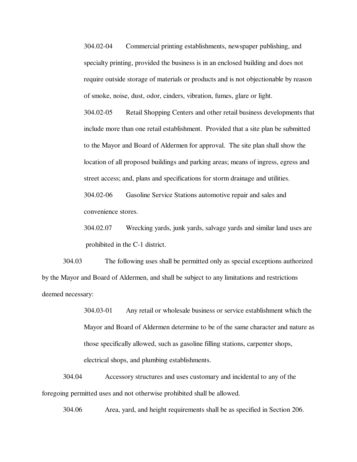304.02-04 Commercial printing establishments, newspaper publishing, and specialty printing, provided the business is in an enclosed building and does not require outside storage of materials or products and is not objectionable by reason of smoke, noise, dust, odor, cinders, vibration, fumes, glare or light.

304.02-05 Retail Shopping Centers and other retail business developments that include more than one retail establishment. Provided that a site plan be submitted to the Mayor and Board of Aldermen for approval. The site plan shall show the location of all proposed buildings and parking areas; means of ingress, egress and street access; and, plans and specifications for storm drainage and utilities. 304.02-06 Gasoline Service Stations automotive repair and sales and convenience stores.

304.02.07 Wrecking yards, junk yards, salvage yards and similar land uses are prohibited in the C-1 district.

304.03 The following uses shall be permitted only as special exceptions authorized by the Mayor and Board of Aldermen, and shall be subject to any limitations and restrictions deemed necessary:

> 304.03-01 Any retail or wholesale business or service establishment which the Mayor and Board of Aldermen determine to be of the same character and nature as those specifically allowed, such as gasoline filling stations, carpenter shops, electrical shops, and plumbing establishments.

304.04 Accessory structures and uses customary and incidental to any of the foregoing permitted uses and not otherwise prohibited shall be allowed.

304.06 Area, yard, and height requirements shall be as specified in Section 206.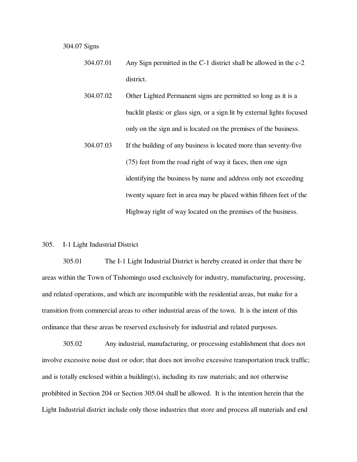304.07 Signs

- 304.07.01 Any Sign permitted in the C-1 district shall be allowed in the c-2 district.
- 304.07.02 Other Lighted Permanent signs are permitted so long as it is a backlit plastic or glass sign, or a sign lit by external lights focused only on the sign and is located on the premises of the business.
- 304.07.03 If the building of any business is located more than seventy-five (75) feet from the road right of way it faces, then one sign identifying the business by name and address only not exceeding twenty square feet in area may be placed within fifteen feet of the Highway right of way located on the premises of the business.

## 305. I-1 Light Industrial District

305.01 The I-1 Light Industrial District is hereby created in order that there be areas within the Town of Tishomingo used exclusively for industry, manufacturing, processing, and related operations, and which are incompatible with the residential areas, but make for a transition from commercial areas to other industrial areas of the town. It is the intent of this ordinance that these areas be reserved exclusively for industrial and related purposes.

305.02 Any industrial, manufacturing, or processing establishment that does not involve excessive noise dust or odor; that does not involve excessive transportation truck traffic; and is totally enclosed within a building(s), including its raw materials; and not otherwise prohibited in Section 204 or Section 305.04 shall be allowed. It is the intention herein that the Light Industrial district include only those industries that store and process all materials and end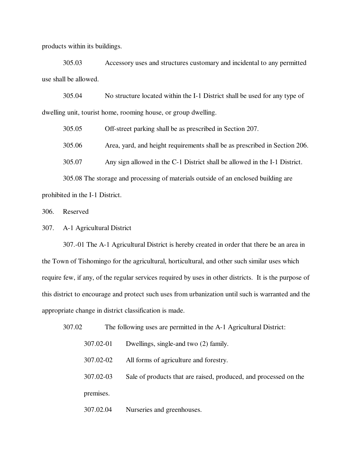products within its buildings.

305.03 Accessory uses and structures customary and incidental to any permitted use shall be allowed.

305.04 No structure located within the I-1 District shall be used for any type of dwelling unit, tourist home, rooming house, or group dwelling.

305.05 Off-street parking shall be as prescribed in Section 207.

305.06 Area, yard, and height requirements shall be as prescribed in Section 206.

305.07 Any sign allowed in the C-1 District shall be allowed in the I-1 District.

305.08 The storage and processing of materials outside of an enclosed building are prohibited in the I-1 District.

306. Reserved

307. A-1 Agricultural District

307.-01 The A-1 Agricultural District is hereby created in order that there be an area in the Town of Tishomingo for the agricultural, horticultural, and other such similar uses which require few, if any, of the regular services required by uses in other districts. It is the purpose of this district to encourage and protect such uses from urbanization until such is warranted and the appropriate change in district classification is made.

| 307.02 | The following uses are permitted in the A-1 Agricultural District: |                                                                  |
|--------|--------------------------------------------------------------------|------------------------------------------------------------------|
|        | 307.02-01                                                          | Dwellings, single-and two (2) family.                            |
|        | 307.02-02                                                          | All forms of agriculture and forestry.                           |
|        | 307.02-03                                                          | Sale of products that are raised, produced, and processed on the |
|        | premises.                                                          |                                                                  |
|        | 307.02.04                                                          | Nurseries and greenhouses.                                       |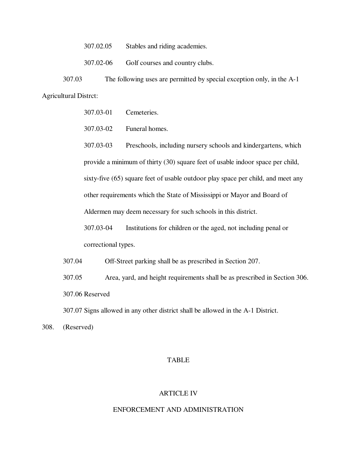307.02.05 Stables and riding academies.

307.02-06 Golf courses and country clubs.

307.03 The following uses are permitted by special exception only, in the A-1 Agricultural Distrct:

307.03-01 Cemeteries.

307.03-02 Funeral homes.

307.03-03 Preschools, including nursery schools and kindergartens, which provide a minimum of thirty (30) square feet of usable indoor space per child, sixty-five (65) square feet of usable outdoor play space per child, and meet any other requirements which the State of Mississippi or Mayor and Board of Aldermen may deem necessary for such schools in this district.

307.03-04 Institutions for children or the aged, not including penal or correctional types.

307.04 Off-Street parking shall be as prescribed in Section 207.

307.05 Area, yard, and height requirements shall be as prescribed in Section 306. 307.06 Reserved

307.07 Signs allowed in any other district shall be allowed in the A-1 District.

308. (Reserved)

# TABLE

## ARTICLE IV

#### ENFORCEMENT AND ADMINISTRATION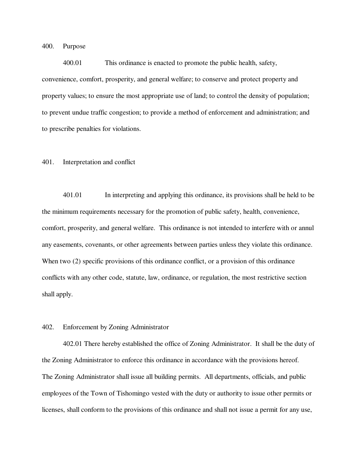400. Purpose

400.01 This ordinance is enacted to promote the public health, safety, convenience, comfort, prosperity, and general welfare; to conserve and protect property and property values; to ensure the most appropriate use of land; to control the density of population; to prevent undue traffic congestion; to provide a method of enforcement and administration; and to prescribe penalties for violations.

#### 401. Interpretation and conflict

401.01 In interpreting and applying this ordinance, its provisions shall be held to be the minimum requirements necessary for the promotion of public safety, health, convenience, comfort, prosperity, and general welfare. This ordinance is not intended to interfere with or annul any easements, covenants, or other agreements between parties unless they violate this ordinance. When two  $(2)$  specific provisions of this ordinance conflict, or a provision of this ordinance conflicts with any other code, statute, law, ordinance, or regulation, the most restrictive section shall apply.

## 402. Enforcement by Zoning Administrator

402.01 There hereby established the office of Zoning Administrator. It shall be the duty of the Zoning Administrator to enforce this ordinance in accordance with the provisions hereof. The Zoning Administrator shall issue all building permits. All departments, officials, and public employees of the Town of Tishomingo vested with the duty or authority to issue other permits or licenses, shall conform to the provisions of this ordinance and shall not issue a permit for any use,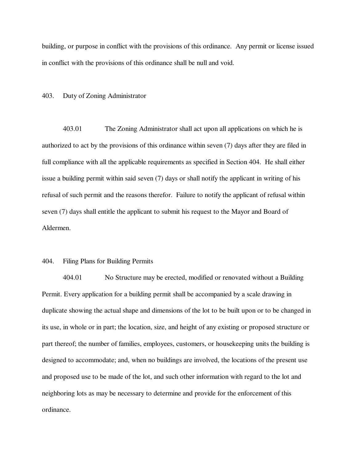building, or purpose in conflict with the provisions of this ordinance. Any permit or license issued in conflict with the provisions of this ordinance shall be null and void.

#### 403. Duty of Zoning Administrator

403.01 The Zoning Administrator shall act upon all applications on which he is authorized to act by the provisions of this ordinance within seven (7) days after they are filed in full compliance with all the applicable requirements as specified in Section 404. He shall either issue a building permit within said seven (7) days or shall notify the applicant in writing of his refusal of such permit and the reasons therefor. Failure to notify the applicant of refusal within seven (7) days shall entitle the applicant to submit his request to the Mayor and Board of Aldermen.

## 404. Filing Plans for Building Permits

404.01 No Structure may be erected, modified or renovated without a Building Permit. Every application for a building permit shall be accompanied by a scale drawing in duplicate showing the actual shape and dimensions of the lot to be built upon or to be changed in its use, in whole or in part; the location, size, and height of any existing or proposed structure or part thereof; the number of families, employees, customers, or housekeeping units the building is designed to accommodate; and, when no buildings are involved, the locations of the present use and proposed use to be made of the lot, and such other information with regard to the lot and neighboring lots as may be necessary to determine and provide for the enforcement of this ordinance.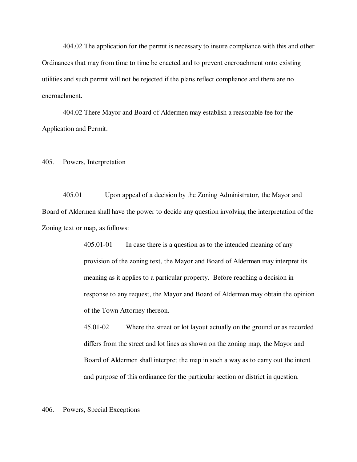404.02 The application for the permit is necessary to insure compliance with this and other Ordinances that may from time to time be enacted and to prevent encroachment onto existing utilities and such permit will not be rejected if the plans reflect compliance and there are no encroachment.

404.02 There Mayor and Board of Aldermen may establish a reasonable fee for the Application and Permit.

405. Powers, Interpretation

405.01 Upon appeal of a decision by the Zoning Administrator, the Mayor and Board of Aldermen shall have the power to decide any question involving the interpretation of the Zoning text or map, as follows:

> 405.01-01 In case there is a question as to the intended meaning of any provision of the zoning text, the Mayor and Board of Aldermen may interpret its meaning as it applies to a particular property. Before reaching a decision in response to any request, the Mayor and Board of Aldermen may obtain the opinion of the Town Attorney thereon.

> 45.01-02 Where the street or lot layout actually on the ground or as recorded differs from the street and lot lines as shown on the zoning map, the Mayor and Board of Aldermen shall interpret the map in such a way as to carry out the intent and purpose of this ordinance for the particular section or district in question.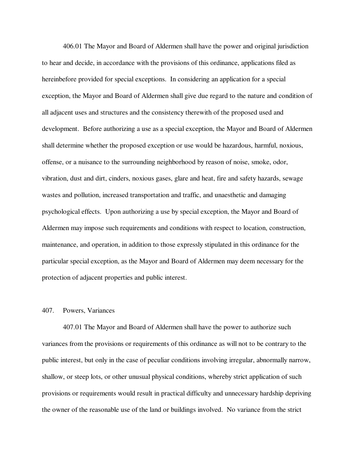406.01 The Mayor and Board of Aldermen shall have the power and original jurisdiction to hear and decide, in accordance with the provisions of this ordinance, applications filed as hereinbefore provided for special exceptions. In considering an application for a special exception, the Mayor and Board of Aldermen shall give due regard to the nature and condition of all adjacent uses and structures and the consistency therewith of the proposed used and development. Before authorizing a use as a special exception, the Mayor and Board of Aldermen shall determine whether the proposed exception or use would be hazardous, harmful, noxious, offense, or a nuisance to the surrounding neighborhood by reason of noise, smoke, odor, vibration, dust and dirt, cinders, noxious gases, glare and heat, fire and safety hazards, sewage wastes and pollution, increased transportation and traffic, and unaesthetic and damaging psychological effects. Upon authorizing a use by special exception, the Mayor and Board of Aldermen may impose such requirements and conditions with respect to location, construction, maintenance, and operation, in addition to those expressly stipulated in this ordinance for the particular special exception, as the Mayor and Board of Aldermen may deem necessary for the protection of adjacent properties and public interest.

## 407. Powers, Variances

407.01 The Mayor and Board of Aldermen shall have the power to authorize such variances from the provisions or requirements of this ordinance as will not to be contrary to the public interest, but only in the case of peculiar conditions involving irregular, abnormally narrow, shallow, or steep lots, or other unusual physical conditions, whereby strict application of such provisions or requirements would result in practical difficulty and unnecessary hardship depriving the owner of the reasonable use of the land or buildings involved. No variance from the strict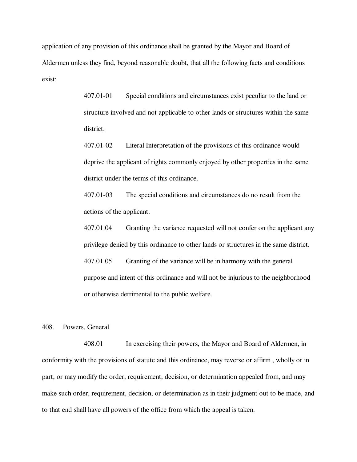application of any provision of this ordinance shall be granted by the Mayor and Board of Aldermen unless they find, beyond reasonable doubt, that all the following facts and conditions exist:

> 407.01-01 Special conditions and circumstances exist peculiar to the land or structure involved and not applicable to other lands or structures within the same district.

> 407.01-02 Literal Interpretation of the provisions of this ordinance would deprive the applicant of rights commonly enjoyed by other properties in the same district under the terms of this ordinance.

407.01-03 The special conditions and circumstances do no result from the actions of the applicant.

407.01.04 Granting the variance requested will not confer on the applicant any privilege denied by this ordinance to other lands or structures in the same district. 407.01.05 Granting of the variance will be in harmony with the general purpose and intent of this ordinance and will not be injurious to the neighborhood

408. Powers, General

408.01 In exercising their powers, the Mayor and Board of Aldermen, in conformity with the provisions of statute and this ordinance, may reverse or affirm , wholly or in part, or may modify the order, requirement, decision, or determination appealed from, and may make such order, requirement, decision, or determination as in their judgment out to be made, and to that end shall have all powers of the office from which the appeal is taken.

or otherwise detrimental to the public welfare.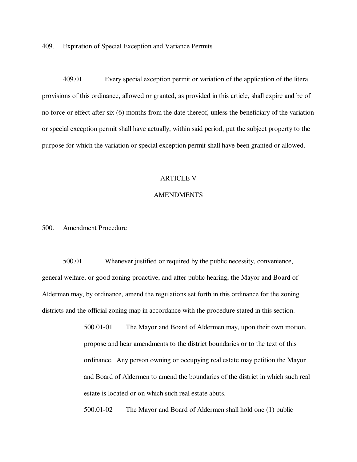409. Expiration of Special Exception and Variance Permits

409.01 Every special exception permit or variation of the application of the literal provisions of this ordinance, allowed or granted, as provided in this article, shall expire and be of no force or effect after six (6) months from the date thereof, unless the beneficiary of the variation or special exception permit shall have actually, within said period, put the subject property to the purpose for which the variation or special exception permit shall have been granted or allowed.

#### ARTICLE V

## AMENDMENTS

# 500. Amendment Procedure

500.01 Whenever justified or required by the public necessity, convenience, general welfare, or good zoning proactive, and after public hearing, the Mayor and Board of Aldermen may, by ordinance, amend the regulations set forth in this ordinance for the zoning districts and the official zoning map in accordance with the procedure stated in this section.

> 500.01-01 The Mayor and Board of Aldermen may, upon their own motion, propose and hear amendments to the district boundaries or to the text of this ordinance. Any person owning or occupying real estate may petition the Mayor and Board of Aldermen to amend the boundaries of the district in which such real estate is located or on which such real estate abuts.

500.01-02 The Mayor and Board of Aldermen shall hold one (1) public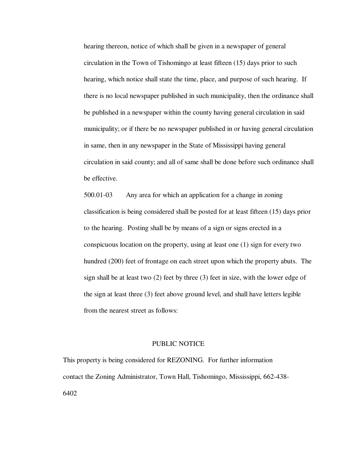hearing thereon, notice of which shall be given in a newspaper of general circulation in the Town of Tishomingo at least fifteen (15) days prior to such hearing, which notice shall state the time, place, and purpose of such hearing. If there is no local newspaper published in such municipality, then the ordinance shall be published in a newspaper within the county having general circulation in said municipality; or if there be no newspaper published in or having general circulation in same, then in any newspaper in the State of Mississippi having general circulation in said county; and all of same shall be done before such ordinance shall be effective.

500.01-03 Any area for which an application for a change in zoning classification is being considered shall be posted for at least fifteen (15) days prior to the hearing. Posting shall be by means of a sign or signs erected in a conspicuous location on the property, using at least one (1) sign for every two hundred (200) feet of frontage on each street upon which the property abuts. The sign shall be at least two (2) feet by three (3) feet in size, with the lower edge of the sign at least three (3) feet above ground level, and shall have letters legible from the nearest street as follows:

#### PUBLIC NOTICE

This property is being considered for REZONING. For further information contact the Zoning Administrator, Town Hall, Tishomingo, Mississippi, 662-438- 6402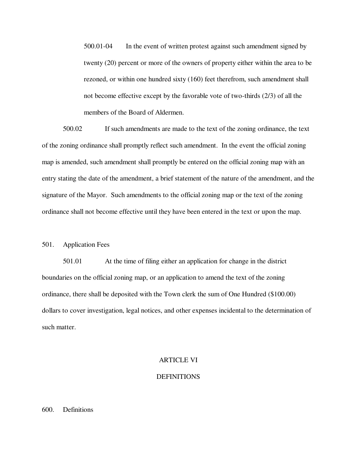500.01-04 In the event of written protest against such amendment signed by twenty (20) percent or more of the owners of property either within the area to be rezoned, or within one hundred sixty (160) feet therefrom, such amendment shall not become effective except by the favorable vote of two-thirds (2/3) of all the members of the Board of Aldermen.

500.02 If such amendments are made to the text of the zoning ordinance, the text of the zoning ordinance shall promptly reflect such amendment. In the event the official zoning map is amended, such amendment shall promptly be entered on the official zoning map with an entry stating the date of the amendment, a brief statement of the nature of the amendment, and the signature of the Mayor. Such amendments to the official zoning map or the text of the zoning ordinance shall not become effective until they have been entered in the text or upon the map.

## 501. Application Fees

501.01 At the time of filing either an application for change in the district boundaries on the official zoning map, or an application to amend the text of the zoning ordinance, there shall be deposited with the Town clerk the sum of One Hundred (\$100.00) dollars to cover investigation, legal notices, and other expenses incidental to the determination of such matter.

## ARTICLE VI

## DEFINITIONS

## 600. Definitions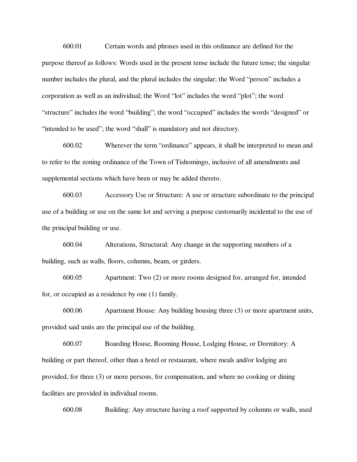600.01 Certain words and phrases used in this ordinance are defined for the purpose thereof as follows: Words used in the present tense include the future tense; the singular number includes the plural, and the plural includes the singular; the Word "person" includes a corporation as well as an individual; the Word "lot" includes the word "plot"; the word "structure" includes the word "building"; the word "occupied" includes the words "designed" or "intended to be used"; the word "shall" is mandatory and not directory.

600.02 Wherever the term "ordinance" appears, it shall be interpreted to mean and to refer to the zoning ordinance of the Town of Tishomingo, inclusive of all amendments and supplemental sections which have been or may be added thereto.

600.03 Accessory Use or Structure: A use or structure subordinate to the principal use of a building or use on the same lot and serving a purpose customarily incidental to the use of the principal building or use.

600.04 Alterations, Structural: Any change in the supporting members of a building, such as walls, floors, columns, beam, or girders.

600.05 Apartment: Two (2) or more rooms designed for, arranged for, intended for, or occupied as a residence by one (1) family.

600.06 Apartment House: Any building housing three (3) or more apartment units, provided said units are the principal use of the building.

600.07 Boarding House, Rooming House, Lodging House, or Dormitory: A building or part thereof, other than a hotel or restaurant, where meals and/or lodging are provided, for three (3) or more persons, for compensation, and where no cooking or dining facilities are provided in individual rooms.

600.08 Building: Any structure having a roof supported by columns or walls, used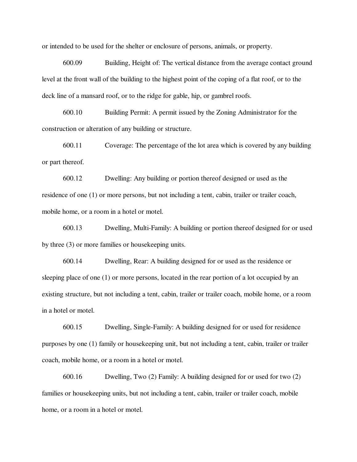or intended to be used for the shelter or enclosure of persons, animals, or property.

600.09 Building, Height of: The vertical distance from the average contact ground level at the front wall of the building to the highest point of the coping of a flat roof, or to the deck line of a mansard roof, or to the ridge for gable, hip, or gambrel roofs.

600.10 Building Permit: A permit issued by the Zoning Administrator for the construction or alteration of any building or structure.

600.11 Coverage: The percentage of the lot area which is covered by any building or part thereof.

600.12 Dwelling: Any building or portion thereof designed or used as the residence of one (1) or more persons, but not including a tent, cabin, trailer or trailer coach, mobile home, or a room in a hotel or motel.

600.13 Dwelling, Multi-Family: A building or portion thereof designed for or used by three (3) or more families or housekeeping units.

600.14 Dwelling, Rear: A building designed for or used as the residence or sleeping place of one (1) or more persons, located in the rear portion of a lot occupied by an existing structure, but not including a tent, cabin, trailer or trailer coach, mobile home, or a room in a hotel or motel.

600.15 Dwelling, Single-Family: A building designed for or used for residence purposes by one (1) family or housekeeping unit, but not including a tent, cabin, trailer or trailer coach, mobile home, or a room in a hotel or motel.

600.16 Dwelling, Two (2) Family: A building designed for or used for two (2) families or housekeeping units, but not including a tent, cabin, trailer or trailer coach, mobile home, or a room in a hotel or motel.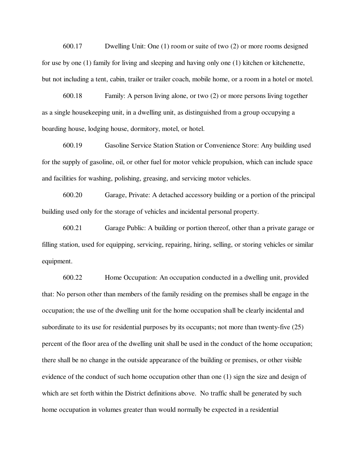600.17 Dwelling Unit: One (1) room or suite of two (2) or more rooms designed for use by one  $(1)$  family for living and sleeping and having only one  $(1)$  kitchen or kitchenette, but not including a tent, cabin, trailer or trailer coach, mobile home, or a room in a hotel or motel.

600.18 Family: A person living alone, or two (2) or more persons living together as a single housekeeping unit, in a dwelling unit, as distinguished from a group occupying a boarding house, lodging house, dormitory, motel, or hotel.

600.19 Gasoline Service Station Station or Convenience Store: Any building used for the supply of gasoline, oil, or other fuel for motor vehicle propulsion, which can include space and facilities for washing, polishing, greasing, and servicing motor vehicles.

600.20 Garage, Private: A detached accessory building or a portion of the principal building used only for the storage of vehicles and incidental personal property.

600.21 Garage Public: A building or portion thereof, other than a private garage or filling station, used for equipping, servicing, repairing, hiring, selling, or storing vehicles or similar equipment.

600.22 Home Occupation: An occupation conducted in a dwelling unit, provided that: No person other than members of the family residing on the premises shall be engage in the occupation; the use of the dwelling unit for the home occupation shall be clearly incidental and subordinate to its use for residential purposes by its occupants; not more than twenty-five (25) percent of the floor area of the dwelling unit shall be used in the conduct of the home occupation; there shall be no change in the outside appearance of the building or premises, or other visible evidence of the conduct of such home occupation other than one (1) sign the size and design of which are set forth within the District definitions above. No traffic shall be generated by such home occupation in volumes greater than would normally be expected in a residential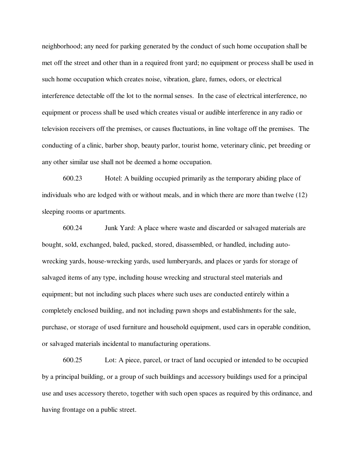neighborhood; any need for parking generated by the conduct of such home occupation shall be met off the street and other than in a required front yard; no equipment or process shall be used in such home occupation which creates noise, vibration, glare, fumes, odors, or electrical interference detectable off the lot to the normal senses. In the case of electrical interference, no equipment or process shall be used which creates visual or audible interference in any radio or television receivers off the premises, or causes fluctuations, in line voltage off the premises. The conducting of a clinic, barber shop, beauty parlor, tourist home, veterinary clinic, pet breeding or any other similar use shall not be deemed a home occupation.

600.23 Hotel: A building occupied primarily as the temporary abiding place of individuals who are lodged with or without meals, and in which there are more than twelve (12) sleeping rooms or apartments.

600.24 Junk Yard: A place where waste and discarded or salvaged materials are bought, sold, exchanged, baled, packed, stored, disassembled, or handled, including autowrecking yards, house-wrecking yards, used lumberyards, and places or yards for storage of salvaged items of any type, including house wrecking and structural steel materials and equipment; but not including such places where such uses are conducted entirely within a completely enclosed building, and not including pawn shops and establishments for the sale, purchase, or storage of used furniture and household equipment, used cars in operable condition, or salvaged materials incidental to manufacturing operations.

600.25 Lot: A piece, parcel, or tract of land occupied or intended to be occupied by a principal building, or a group of such buildings and accessory buildings used for a principal use and uses accessory thereto, together with such open spaces as required by this ordinance, and having frontage on a public street.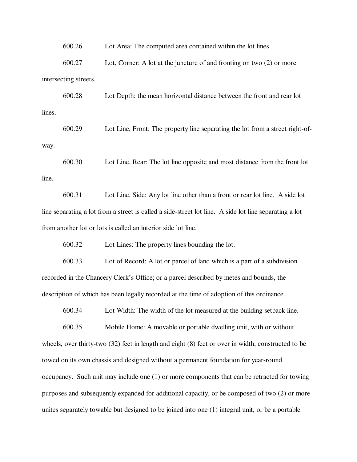600.26 Lot Area: The computed area contained within the lot lines.

600.27 Lot, Corner: A lot at the juncture of and fronting on two (2) or more intersecting streets.

600.28 Lot Depth: the mean horizontal distance between the front and rear lot lines.

600.29 Lot Line, Front: The property line separating the lot from a street right-ofway.

600.30 Lot Line, Rear: The lot line opposite and most distance from the front lot line.

600.31 Lot Line, Side: Any lot line other than a front or rear lot line. A side lot line separating a lot from a street is called a side-street lot line. A side lot line separating a lot from another lot or lots is called an interior side lot line.

600.32 Lot Lines: The property lines bounding the lot.

600.33 Lot of Record: A lot or parcel of land which is a part of a subdivision recorded in the Chancery Clerk's Office; or a parcel described by metes and bounds, the description of which has been legally recorded at the time of adoption of this ordinance.

600.34 Lot Width: The width of the lot measured at the building setback line.

600.35 Mobile Home: A movable or portable dwelling unit, with or without wheels, over thirty-two (32) feet in length and eight (8) feet or over in width, constructed to be towed on its own chassis and designed without a permanent foundation for year-round occupancy. Such unit may include one (1) or more components that can be retracted for towing purposes and subsequently expanded for additional capacity, or be composed of two (2) or more unites separately towable but designed to be joined into one (1) integral unit, or be a portable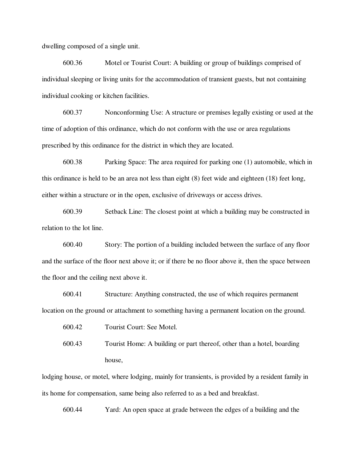dwelling composed of a single unit.

600.36 Motel or Tourist Court: A building or group of buildings comprised of individual sleeping or living units for the accommodation of transient guests, but not containing individual cooking or kitchen facilities.

600.37 Nonconforming Use: A structure or premises legally existing or used at the time of adoption of this ordinance, which do not conform with the use or area regulations prescribed by this ordinance for the district in which they are located.

600.38 Parking Space: The area required for parking one (1) automobile, which in this ordinance is held to be an area not less than eight (8) feet wide and eighteen (18) feet long, either within a structure or in the open, exclusive of driveways or access drives.

600.39 Setback Line: The closest point at which a building may be constructed in relation to the lot line.

600.40 Story: The portion of a building included between the surface of any floor and the surface of the floor next above it; or if there be no floor above it, then the space between the floor and the ceiling next above it.

600.41 Structure: Anything constructed, the use of which requires permanent location on the ground or attachment to something having a permanent location on the ground.

600.42 Tourist Court: See Motel.

600.43 Tourist Home: A building or part thereof, other than a hotel, boarding house,

lodging house, or motel, where lodging, mainly for transients, is provided by a resident family in its home for compensation, same being also referred to as a bed and breakfast.

600.44 Yard: An open space at grade between the edges of a building and the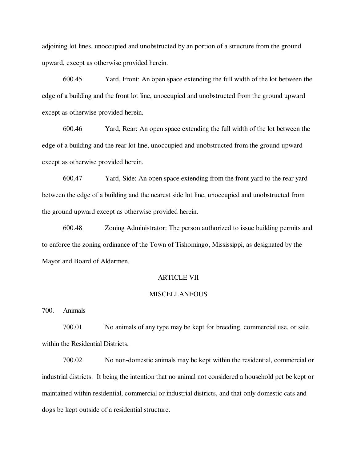adjoining lot lines, unoccupied and unobstructed by an portion of a structure from the ground upward, except as otherwise provided herein.

600.45 Yard, Front: An open space extending the full width of the lot between the edge of a building and the front lot line, unoccupied and unobstructed from the ground upward except as otherwise provided herein.

600.46 Yard, Rear: An open space extending the full width of the lot between the edge of a building and the rear lot line, unoccupied and unobstructed from the ground upward except as otherwise provided herein.

600.47 Yard, Side: An open space extending from the front yard to the rear yard between the edge of a building and the nearest side lot line, unoccupied and unobstructed from the ground upward except as otherwise provided herein.

600.48 Zoning Administrator: The person authorized to issue building permits and to enforce the zoning ordinance of the Town of Tishomingo, Mississippi, as designated by the Mayor and Board of Aldermen.

#### ARTICLE VII

#### **MISCELLANEOUS**

700. Animals

700.01 No animals of any type may be kept for breeding, commercial use, or sale within the Residential Districts.

700.02 No non-domestic animals may be kept within the residential, commercial or industrial districts. It being the intention that no animal not considered a household pet be kept or maintained within residential, commercial or industrial districts, and that only domestic cats and dogs be kept outside of a residential structure.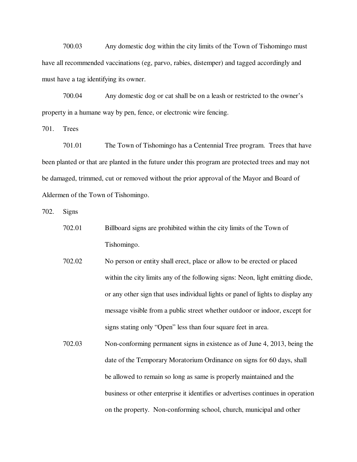700.03 Any domestic dog within the city limits of the Town of Tishomingo must have all recommended vaccinations (eg, parvo, rabies, distemper) and tagged accordingly and must have a tag identifying its owner.

700.04 Any domestic dog or cat shall be on a leash or restricted to the owner's property in a humane way by pen, fence, or electronic wire fencing.

701. Trees

701.01 The Town of Tishomingo has a Centennial Tree program. Trees that have been planted or that are planted in the future under this program are protected trees and may not be damaged, trimmed, cut or removed without the prior approval of the Mayor and Board of Aldermen of the Town of Tishomingo.

702. Signs

- 702.01 Billboard signs are prohibited within the city limits of the Town of Tishomingo.
- 702.02 No person or entity shall erect, place or allow to be erected or placed within the city limits any of the following signs: Neon, light emitting diode, or any other sign that uses individual lights or panel of lights to display any message visible from a public street whether outdoor or indoor, except for signs stating only "Open" less than four square feet in area.
- 702.03 Non-conforming permanent signs in existence as of June 4, 2013, being the date of the Temporary Moratorium Ordinance on signs for 60 days, shall be allowed to remain so long as same is properly maintained and the business or other enterprise it identifies or advertises continues in operation on the property. Non-conforming school, church, municipal and other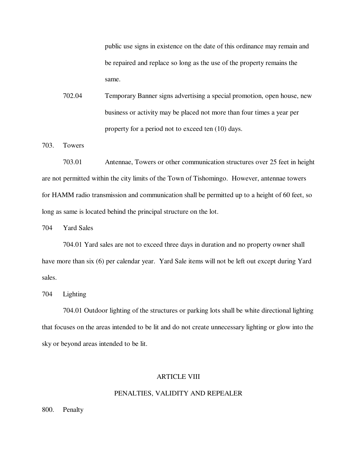public use signs in existence on the date of this ordinance may remain and be repaired and replace so long as the use of the property remains the same.

702.04 Temporary Banner signs advertising a special promotion, open house, new business or activity may be placed not more than four times a year per property for a period not to exceed ten (10) days.

703. Towers

703.01 Antennae, Towers or other communication structures over 25 feet in height are not permitted within the city limits of the Town of Tishomingo. However, antennae towers for HAMM radio transmission and communication shall be permitted up to a height of 60 feet, so long as same is located behind the principal structure on the lot.

704 Yard Sales

704.01 Yard sales are not to exceed three days in duration and no property owner shall have more than six (6) per calendar year. Yard Sale items will not be left out except during Yard sales.

704 Lighting

704.01 Outdoor lighting of the structures or parking lots shall be white directional lighting that focuses on the areas intended to be lit and do not create unnecessary lighting or glow into the sky or beyond areas intended to be lit.

## ARTICLE VIII

#### PENALTIES, VALIDITY AND REPEALER

800. Penalty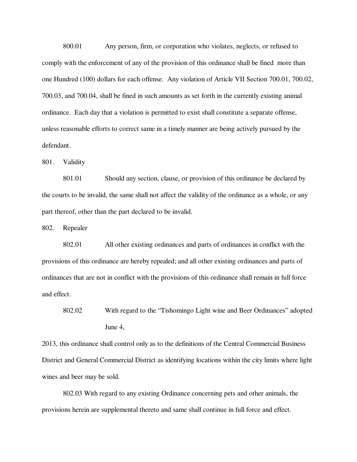800.01 Any person, firm, or corporation who violates, neglects, or refused to comply with the enforcement of any of the provision of this ordinance shall be fined more than one Hundred (100) dollars for each offense. Any violation of Article VII Section 700.01, 700.02, 700.03, and 700.04, shall be fined in such amounts as set forth in the currently existing animal ordinance. Each day that a violation is permitted to exist shall constitute a separate offense, unless reasonable efforts to correct same in a timely manner are being actively pursued by the defendant.

801. Validity

801.01 Should any section, clause, or provision of this ordinance be declared by the courts to be invalid, the same shall not affect the validity of the ordinance as a whole, or any part thereof, other than the part declared to be invalid.

802. Repealer

802.01 All other existing ordinances and parts of ordinances in conflict with the provisions of this ordinance are hereby repealed; and all other existing ordinances and parts of ordinances that are not in conflict with the provisions of this ordinance shall remain in full force and effect.

2013, this ordinance shall control only as to the definitions of the Central Commercial Business District and General Commercial District as identifying locations within the city limits where light wines and beer may be sold.

802.03 With regard to any existing Ordinance concerning pets and other animals, the provisions herein are supplemental thereto and same shall continue in full force and effect.

<sup>802.02</sup> With regard to the "Tishomingo Light wine and Beer Ordinances" adopted June 4,